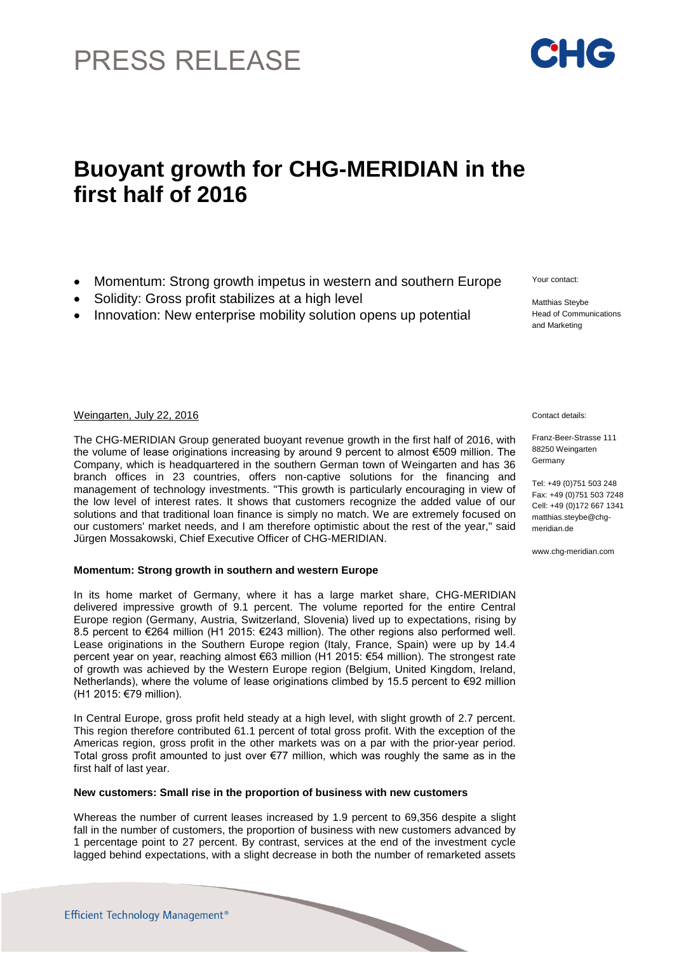# PRESS RELEASE

## **Buoyant growth for CHG-MERIDIAN in the first half of 2016**

- Momentum: Strong growth impetus in western and southern Europe
- Solidity: Gross profit stabilizes at a high level
- Innovation: New enterprise mobility solution opens up potential

Weingarten, July 22, 2016 Contact details:

The CHG-MERIDIAN Group generated buoyant revenue growth in the first half of 2016, with the volume of lease originations increasing by around 9 percent to almost €509 million. The Company, which is headquartered in the southern German town of Weingarten and has 36 branch offices in 23 countries, offers non-captive solutions for the financing and management of technology investments. "This growth is particularly encouraging in view of the low level of interest rates. It shows that customers recognize the added value of our solutions and that traditional loan finance is simply no match. We are extremely focused on our customers' market needs, and I am therefore optimistic about the rest of the year," said Jürgen Mossakowski, Chief Executive Officer of CHG-MERIDIAN.

### **Momentum: Strong growth in southern and western Europe**

In its home market of Germany, where it has a large market share, CHG-MERIDIAN delivered impressive growth of 9.1 percent. The volume reported for the entire Central Europe region (Germany, Austria, Switzerland, Slovenia) lived up to expectations, rising by 8.5 percent to €264 million (H1 2015: €243 million). The other regions also performed well. Lease originations in the Southern Europe region (Italy, France, Spain) were up by 14.4 percent year on year, reaching almost €63 million (H1 2015: €54 million). The strongest rate of growth was achieved by the Western Europe region (Belgium, United Kingdom, Ireland, Netherlands), where the volume of lease originations climbed by 15.5 percent to €92 million (H1 2015: €79 million).

In Central Europe, gross profit held steady at a high level, with slight growth of 2.7 percent. This region therefore contributed 61.1 percent of total gross profit. With the exception of the Americas region, gross profit in the other markets was on a par with the prior-year period. Total gross profit amounted to just over €77 million, which was roughly the same as in the first half of last year.

### **New customers: Small rise in the proportion of business with new customers**

Whereas the number of current leases increased by 1.9 percent to 69,356 despite a slight fall in the number of customers, the proportion of business with new customers advanced by 1 percentage point to 27 percent. By contrast, services at the end of the investment cycle lagged behind expectations, with a slight decrease in both the number of remarketed assets

Franz-Beer-Strasse 111 88250 Weingarten Germany

Tel: +49 (0)751 503 248 Fax: +49 (0)751 503 7248 Cell: +49 (0)172 667 1341 [matthias.steybe@chg](mailto:matthias.steybe@chg-)meridian.de

www.chg-meridian.com



Your contact:

Matthias Steybe Head of Communications and Marketing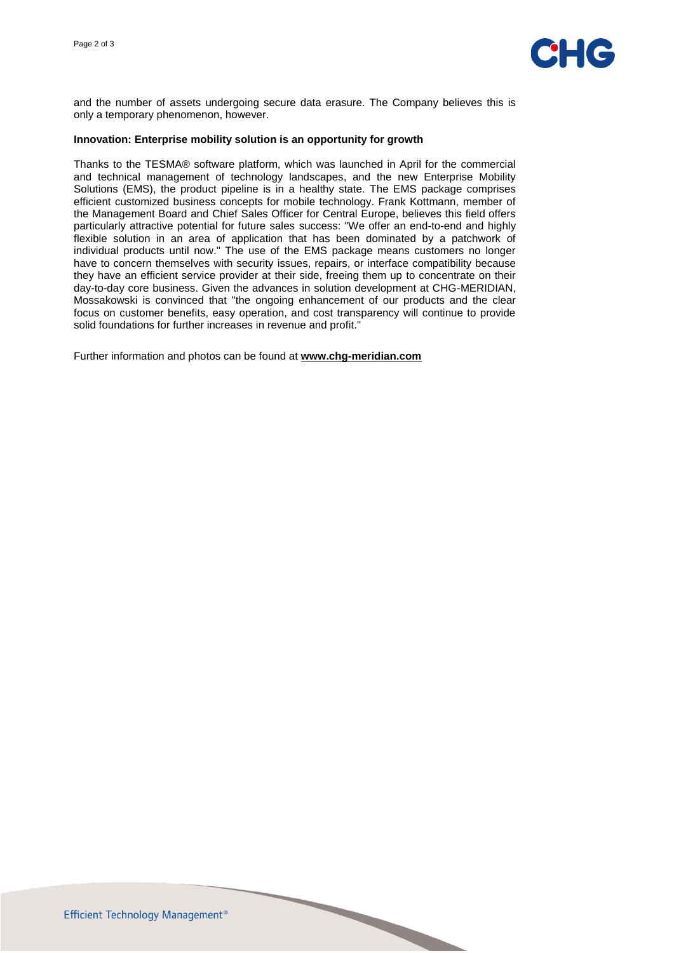

and the number of assets undergoing secure data erasure. The Company believes this is only a temporary phenomenon, however.

#### **Innovation: Enterprise mobility solution is an opportunity for growth**

Thanks to the TESMA® software platform, which was launched in April for the commercial and technical management of technology landscapes, and the new Enterprise Mobility Solutions (EMS), the product pipeline is in a healthy state. The EMS package comprises efficient customized business concepts for mobile technology. Frank Kottmann, member of the Management Board and Chief Sales Officer for Central Europe, believes this field offers particularly attractive potential for future sales success: "We offer an end-to-end and highly flexible solution in an area of application that has been dominated by a patchwork of individual products until now." The use of the EMS package means customers no longer have to concern themselves with security issues, repairs, or interface compatibility because they have an efficient service provider at their side, freeing them up to concentrate on their day-to-day core business. Given the advances in solution development at CHG-MERIDIAN, Mossakowski is convinced that "the ongoing enhancement of our products and the clear focus on customer benefits, easy operation, and cost transparency will continue to provide solid foundations for further increases in revenue and profit."

Further information and photos can be found at **[www.chg-meridian.com](http://www.chg-meridian.com/)**